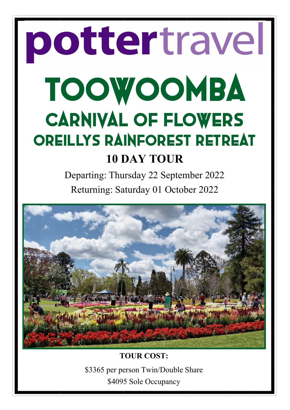# pottertravel TOOWOOMBA CARNIVAL OF FLOWERS OREILLYS RAINFOREST RETREAT **10 DAY TOUR**

Departing: Thursday 22 September 2022 Returning: Saturday 01 October 2022



**TOUR COST:** \$3365 per person Twin/Double Share \$4095 Sole Occupancy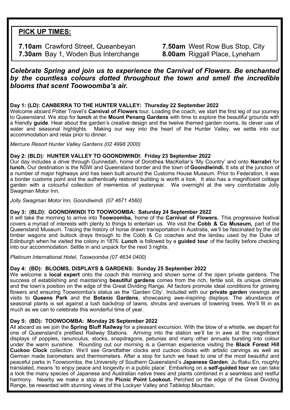# **PICK UP TIMES:**

**7.10am** Crawford Street, Queanbeyan **7.50am** West Row Bus Stop, City **7.30am** Bay 1, Woden Bus Interchange **8.00am** Riggall Place, Lyneham

*Celebrate Spring and join us to experience the Carnival of Flowers. Be enchanted by the countless colours dotted throughout the town and smell the incredible blooms that scent Toowoomba's air.*

#### **Day 1: (LD): CANBERRA TO THE HUNTER VALLEY: Thursday 22 September 2022**

Welcome aboard Potter Travel's **Carnival of Flowers** tour. Loading the coach, we start the first leg of our journey to Queensland. We stop for **lunch** at the **Mount Penang Gardens** with time to explore the beautiful grounds with a friendly **guide**. Hear about the garden's creative design and the twelve themed garden rooms, its clever use of water and seasonal highlights. Making our way into the heart of the Hunter Valley, we settle into our accommodation and relax prior to dinner.

*Mercure Resort Hunter Valley Gardens (02 4998 2000)*

# **Day 2: (BLD): HUNTER VALLEY TO GOONDIWINDI: Friday 23 September 2022**

Our day includes a drive through Gunnedah, home of Dorothea MacKellar's 'My Country' and onto **Narrabri** for **lunch.** Our destination is the NSW and Queensland border and the town of **Goondiwindi.** It sits at the junction of a number of major highways and has been built around the Customs House Museum. Prior to Federation, it was a border customs point and the authentically restored building is worth a look. It also has a magnificent cottage garden with a colourful collection of mementos of yesteryear. We overnight at the very comfortable Jolly Swagman Motor Inn.

*Jolly Swagman Motor Inn, Goondiwindi (07 4671 4560)*

# **Day 3: (BLD): GOONDIWINDI TO TOOWOOMBA: Saturday 24 September 2022**

It will take the morning to arrive into **Toowoomba,** home of the **Carnival of Flowers.** This progressive festival covers a myriad of interests with plenty to things to entertain us. We visit the **Cobb & Co Museum,** part of the Queensland Museum. Tracing the history of horse drawn transportation in Australia, we'll be fascinated by the old timber wagons and bullock drays through to the Cobb & Co coaches and the landau used by the Duke of Edinburgh when he visited the colony in 1876. **Lunch** is followed by a **guided tour** of the facility before checking into our accommodation. Settle in and unpack for the next 3 nights.

*Platinum International Hotel, Toowoomba (07 4634 0400)*

# **Day 4: (BD): BLOOMS, DISPLAYS & GARDENS: Sunday 25 September 2022**

We welcome a **local expert** onto the coach this morning and shown some of the open private gardens. The success of establishing and maintaining **beautiful gardens** comes from the rich, fertile soil, its unique climate and the town's position on the edge of the Great Dividing Range. All factors promote ideal conditions for growing flowers and ensuring Toowoomba's status as the 'Garden City'. Included with our **private garden** viewings are visits to **Queens Park** and the **Botanic Gardens**, showcasing awe-inspiring displays. The abundance of seasonal plants is set against a lush backdrop of lawns, shrubs and avenues of towering trees. We'll fit in as much as we can to celebrate this wonderful time of year.

# **Day 5: (BD): TOOWOOMBA: Monday 26 September 2022**

All aboard as we join the **Spring Bluff Railway** for a pleasant excursion. With the blow of a whistle, we depart for one of Queensland's prettiest Railway Stations. Arriving into the station we'll be in awe at the magnificent displays of poppies, ranunculus, stocks, snapdragons, petunias and many other annuals bursting into colour under the warm sunshine. Rounding out our morning is a German experience visiting the **Black Forest Hill Cuckoo Clock** collection. We'll see Grandfather clocks and cuckoo clocks with artistic carvings as well as German made barometers and thermometers. After a stop for lunch we head to one of the most beautiful and peaceful parks in Toowoomba, the University of Southern Queensland's **Japanese Garden**. Ju Raku En, roughly translated, means 'to enjoy peace and longevity in a public place'. Embarking on a **self-guided tour** we can take a look the many species of Japanese and Australian native trees and plants combined in a seamless and restful harmony. Nearby we make a stop at the **Picnic Point Lookout.** Perched on the edge of the Great Dividing Range, be rewarded with stunning views of the Lockyer Valley and Tabletop Mountain.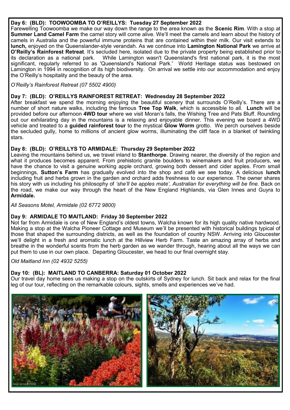### **Day 6: (BLD): TOOWOOMBA TO O'REILLYS: Tuesday 27 September 2022**

Farewelling Toowoomba we make our way down the range to the area known as the **Scenic Rim**. With a stop at **Summer Land Camel Farm** the camel story will come alive. We'll meet the camels and learn about the history of camels in Australia and the powerful immune proteins that are contained within their milk. Our visit extends to **lunch,** enjoyed on the Queenslander-style verandah. As we continue into **Lamington National Park** we arrive at **O'Reilly's Rainforest Retreat**. It's secluded here, isolated due to the private property being established prior to While Lamington wasn't Queensland's first national park, it is the most significant, regularly referred to as 'Queensland's National Park.' World Heritage status was bestowed on Lamington in 1994 in recognition of its high biodiversity. On arrival we settle into our accommodation and enjoy the O'Reilly's hospitality and the beauty of the area.

#### *O'Reilly's Rainforest Retreat (07 5502 4900)*

#### **Day 7: (BLD): O'REILLYS RAINFOREST RETREAT: Wednesday 28 September 2022**

After breakfast we spend the morning enjoying the beautiful scenery that surrounds O'Reilly's. There are a number of short nature walks, including the famous **Tree Top Walk**, which is accessible to all. **Lunch** will be provided before our afternoon **4WD tour** where we visit Moran's falls, the Wishing Tree and Pats Bluff. Rounding out our exhilarating day in the mountains is a relaxing and enjoyable dinner. This evening we board a 4WD vehicle and treated to a **guided rainforest tour** to the mystical **Glow Worm** grotto. We perch ourselves beside the secluded gully, home to millions of ancient glow worms, illuminating the cliff face in a blanket of twinkling stars.

#### **Day 8: (BLD): O'REILLYS TO ARMIDALE: Thursday 29 September 2022**

Leaving the mountains behind us, we travel inland to **Stanthorpe**. Drawing nearer, the diversity of the region and what it produces becomes apparent. From prehistoric granite boulders to winemakers and fruit producers, we have the chance to visit a genuine working apple orchard, growing both dessert and cider apples. From small beginnings, **Sutton's Farm** has gradually evolved into the shop and café we see today. A delicious **lunch**  including fruit and herbs grown in the garden and orchard adds freshness to our experience. The owner shares his story with us including his philosophy of *'she'll be apples mate', Australian for everything will be fine.* Back on the road, we make our way through the heart of the New England Highlands, via Glen Innes and Guyra to **Armidale.**

*All Seasons Motel, Armidale (02 6772 9800)*

#### **Day 9: ARMIDALE TO MAITLAND: Friday 30 September 2022**

Not far from Armidale is one of New England's oldest towns, Walcha known for its high quality native hardwood. Making a stop at the Walcha Pioneer Cottage and Museum we'll be presented with historical buildings typical of those that shaped the surrounding districts, as well as the foundation of country NSW. Arriving into Gloucester we'll delight in a fresh and aromatic lunch at the Hillview Herb Farm. Taste an amazing array of herbs and breathe in the wonderful scents from the herb garden as we wander through, hearing about all the ways we can put them to use in our own place. Departing Gloucester, we head to our final overnight stay.

*Old Maitland Inn (02 4932 5255)*

# **Day 10: (BL): MAITLAND TO CANBERRA: Saturday 01 October 2022**

Our travel day home sees us making a stop on the outskirts of Sydney for lunch. Sit back and relax for the final leg of our tour, reflecting on the remarkable colours, sights, smells and experiences we've had.